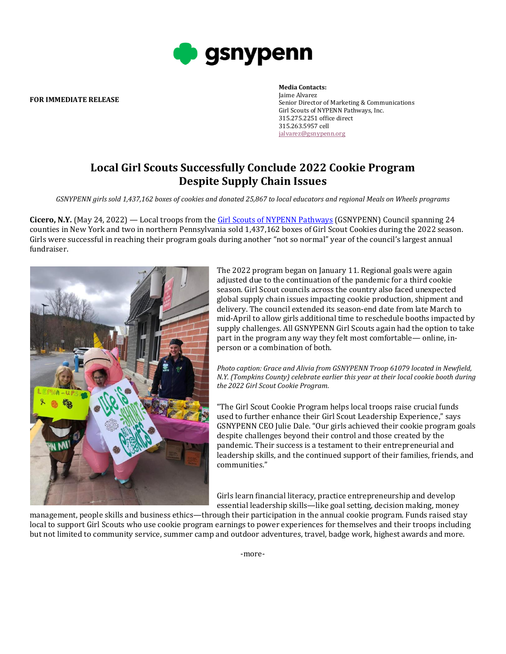

**FOR IMMEDIATE RELEASE**

## **Media Contacts:** Jaime Alvarez Senior Director of Marketing & Communications Girl Scouts of NYPENN Pathways, Inc. 315.275.2251 office direct 315.263.5957 cell [jalvarez@gsnypenn.org](mailto:jalvarez@gsnypenn.org)

## **Local Girl Scouts Successfully Conclude 2022 Cookie Program Despite Supply Chain Issues**

*GSNYPENN girls sold 1,437,162 boxes of cookies and donated 25,867 to local educators and regional Meals on Wheels programs* 

**Cicero, N.Y.** (May 24, 2022) — Local troops from the [Girl Scouts of NYPENN Pathways](https://nam04.safelinks.protection.outlook.com/?url=http%3A%2F%2Flink.mediaoutreach.meltwater.com%2Fls%2Fclick%3Fupn%3D17esN1qkyBXnTsRlCs10qQcvlXfOaK9B1kTnMNQjhIHATfdPLV0bzZ-2FqIU6uhZS44BaS_qulDDNfMpBkCd-2Bfgo3xAH2qjNH5gxr6RO9TU2plC-2B7ZUuP2MAjBbiJtS0Eqkd-2FaljFUaJaQ9JKVTT4cak-2B-2BRZj5XXsyKeaMhXre5cRykB8EHwFFP-2BLtTiTF-2BNKauRUqO-2BW01w4R2YjphtNzZZYp6LFP7TRELOy11LY2pGavJtBkXByR-2BBEnTwRAvUY0wFw2D-2BpULsCMMwIuuHVT6bsn8lMkFSFA-2FNb5RYO8XUV-2B0rIiZ5r2EBD6ob8pRXP5wFJhxqcM3CpcUxODfTUyDILyDXZQje9pCI0WNji5sk4Kt-2BcWk06XWraBNY7xvv2FFM5No6O9LGBOQKpOXWhB6MjSp5Wc3VpYT73aKHcODtyX-2FEAPsPYa0y3OutSsA7ntpyFf8aA2Ur4PMVEVAa2t-2FYSscog-3D-3D&data=04%7C01%7Cjalvarez%40gsnypenn.org%7Cea3b487fa4f34d20a0cb08d8fe9b4ee5%7Cfb81b76668ff43b2926b1ca9b2080c9f%7C1%7C0%7C637539290297362640%7CUnknown%7CTWFpbGZsb3d8eyJWIjoiMC4wLjAwMDAiLCJQIjoiV2luMzIiLCJBTiI6Ik1haWwiLCJXVCI6Mn0%3D%7C1000&sdata=kV%2BeUGVOXAkplV4YauE8N14bWWSaA7z2FR8%2F456QMuE%3D&reserved=0) (GSNYPENN) Council spanning 24 counties in New York and two in northern Pennsylvania sold 1,437,162 boxes of Girl Scout Cookies during the 2022 season. Girls were successful in reaching their program goals during another "not so normal" year of the council's largest annual fundraiser.



The 2022 program began on January 11. Regional goals were again adjusted due to the continuation of the pandemic for a third cookie season. Girl Scout councils across the country also faced unexpected global supply chain issues impacting cookie production, shipment and delivery. The council extended its season-end date from late March to mid-April to allow girls additional time to reschedule booths impacted by supply challenges. All GSNYPENN Girl Scouts again had the option to take part in the program any way they felt most comfortable— online, inperson or a combination of both.

*Photo caption: Grace and Alivia from GSNYPENN Troop 61079 located in Newfield, N.Y. (Tompkins County) celebrate earlier this year at their local cookie booth during the 2022 Girl Scout Cookie Program.* 

"The Girl Scout Cookie Program helps local troops raise crucial funds used to further enhance their Girl Scout Leadership Experience," says GSNYPENN CEO Julie Dale. "Our girls achieved their cookie program goals despite challenges beyond their control and those created by the pandemic. Their success is a testament to their entrepreneurial and leadership skills, and the continued support of their families, friends, and communities."

Girls learn financial literacy, practice entrepreneurship and develop essential leadership skills—like goal setting, decision making, money

management, people skills and business ethics—through their participation in the annual cookie program. Funds raised stay local to support Girl Scouts who use cookie program earnings to power experiences for themselves and their troops including but not limited to community service, summer camp and outdoor adventures, travel, badge work, highest awards and more.